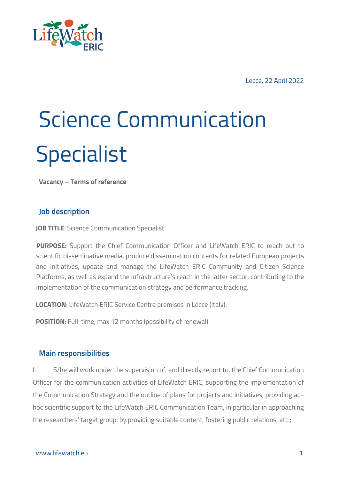

Lecce, 22 April 2022

# Science Communication **Specialist**

**Vacancy – Terms of reference**

### **Job description**

**JOB TITLE: Science Communication Specialist** 

**PURPOSE:** Support the Chief Communication Officer and LifeWatch ERIC to reach out to scientific disseminative media, produce dissemination contents for related European projects and initiatives, update and manage the LifeWatch ERIC Community and Citizen Science Platforms, as well as expand the infrastructure's reach in the latter sector, contributing to the implementation of the communication strategy and performance tracking.

**LOCATION**: LifeWatch ERIC Service Centre premises in Lecce (Italy).

**POSITION**: Full-time, max 12 months (possibility of renewal).

### **Main responsibilities**

I. S/he will work under the supervision of, and directly report to, the Chief Communication Officer for the communication activities of LifeWatch ERIC, supporting the implementation of the Communication Strategy and the outline of plans for projects and initiatives, providing adhoc scientific support to the LifeWatch ERIC Communication Team, in particular in approaching the researchers' target group, by providing suitable content, fostering public relations, etc.;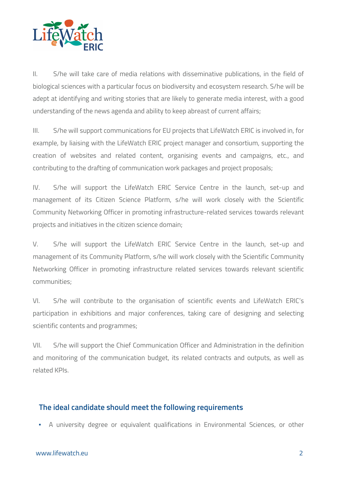

II. S/he will take care of media relations with disseminative publications, in the field of biological sciences with a particular focus on biodiversity and ecosystem research. S/he will be adept at identifying and writing stories that are likely to generate media interest, with a good understanding of the news agenda and ability to keep abreast of current affairs;

III. S/he will support communications for EU projects that LifeWatch ERIC is involved in, for example, by liaising with the LifeWatch ERIC project manager and consortium, supporting the creation of websites and related content, organising events and campaigns, etc., and contributing to the drafting of communication work packages and project proposals;

IV. S/he will support the LifeWatch ERIC Service Centre in the launch, set-up and management of its Citizen Science Platform, s/he will work closely with the Scientific Community Networking Officer in promoting infrastructure-related services towards relevant projects and initiatives in the citizen science domain;

V. S/he will support the LifeWatch ERIC Service Centre in the launch, set-up and management of its Community Platform, s/he will work closely with the Scientific Community Networking Officer in promoting infrastructure related services towards relevant scientific communities;

VI. S/he will contribute to the organisation of scientific events and LifeWatch ERIC's participation in exhibitions and major conferences, taking care of designing and selecting scientific contents and programmes;

VII. S/he will support the Chief Communication Officer and Administration in the definition and monitoring of the communication budget, its related contracts and outputs, as well as related KPIs.

# **The ideal candidate should meet the following requirements**

A university degree or equivalent qualifications in Environmental Sciences, or other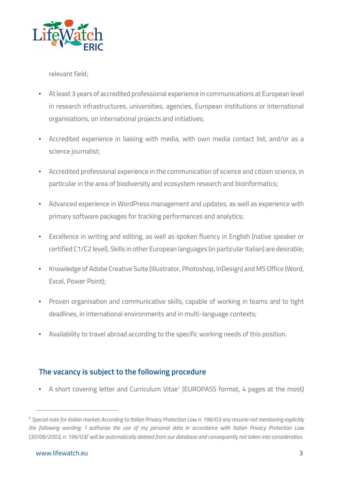

relevant field;

- At least 3 years of accredited professional experience in communications at European level in research infrastructures, universities, agencies, European institutions or international organisations, on international projects and initiatives;
- Accredited experience in liaising with media, with own media contact list, and/or as a science journalist;
- Accredited professional experience in the communication of science and citizen science, in particular in the area of biodiversity and ecosystem research and bioinformatics;
- Advanced experience in WordPress management and updates, as well as experience with primary software packages for tracking performances and analytics;
- Excellence in writing and editing, as well as spoken fluency in English (native speaker or certified C1/C2 level). Skills in other European languages (in particular Italian) are desirable;
- Knowledge of Adobe Creative Suite (Illustrator, Photoshop, InDesign) and MS Office (Word, Excel, Power Point);
- **•** Proven organisation and communicative skills, capable of working in teams and to tight deadlines, in international environments and in multi-language contexts;
- Availability to travel abroad according to the specific working needs of this position.

# **The vacancy is subject to the following procedure**

• A short covering letter and Curriculum Vitae<sup>1</sup> (EUROPASS format, 4 pages at the most)

**<sup>1</sup>** *Special note for Italian market: According to Italian Privacy Protection Law n. 196/03 any resume not mentioning explicitly the following wording: 'I authorise the use of my personal data in accordance with Italian Privacy Protection Law (30/06/2003, n. 196/03)' will be automatically deleted from our database and consequently not taken into consideration.*